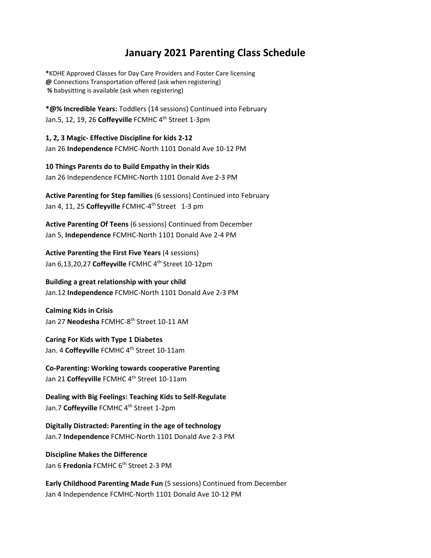## **January 2021 Parenting Class Schedule**

**\***KDHE Approved Classes for Day Care Providers and Foster Care licensing **@** Connections Transportation offered (ask when registering) **%** babysitting is available (ask when registering)

**\*@% Incredible Years:** Toddlers (14 sessions) Continued into February Jan.5, 12, 19, 26 Coffeyville FCMHC 4<sup>th</sup> Street 1-3pm

**1, 2, 3 Magic‐ Effective Discipline for kids 2‐12** Jan 26 **Independence** FCMHC‐North 1101 Donald Ave 10‐12 PM

**10 Things Parents do to Build Empathy in their Kids** Jan 26 Independence FCMHC‐North 1101 Donald Ave 2‐3 PM

**Active Parenting for Step families** (6 sessions) Continued into February Jan 4, 11, 25 Coffeyville FCMHC-4<sup>th</sup> Street 1-3 pm

**Active Parenting Of Teens** (6 sessions) Continued from December Jan 5, **Independence** FCMHC‐North 1101 Donald Ave 2‐4 PM

**Active Parenting the First Five Years** (4 sessions) Jan 6,13,20,27 Coffeyville FCMHC 4<sup>th</sup> Street 10-12pm

## **Building a great relationship with your child**

Jan.12 **Independence** FCMHC‐North 1101 Donald Ave 2‐3 PM

**Calming Kids in Crisis** Jan 27 **Neodesha** FCMHC‐8th Street 10‐11 AM

**Caring For Kids with Type 1 Diabetes** Jan. 4 Coffeyville FCMHC 4<sup>th</sup> Street 10-11am

**Co‐Parenting: Working towards cooperative Parenting** Jan 21 Coffeyville FCMHC 4<sup>th</sup> Street 10-11am

**Dealing with Big Feelings: Teaching Kids to Self‐Regulate** Jan.7 Coffeyville FCMHC 4<sup>th</sup> Street 1-2pm

**Digitally Distracted: Parenting in the age of technology** Jan.7 **Independence** FCMHC‐North 1101 Donald Ave 2‐3 PM

## **Discipline Makes the Difference**

Jan 6 **Fredonia** FCMHC 6<sup>th</sup> Street 2-3 PM

**Early Childhood Parenting Made Fun** (5 sessions) Continued from December Jan 4 Independence FCMHC‐North 1101 Donald Ave 10‐12 PM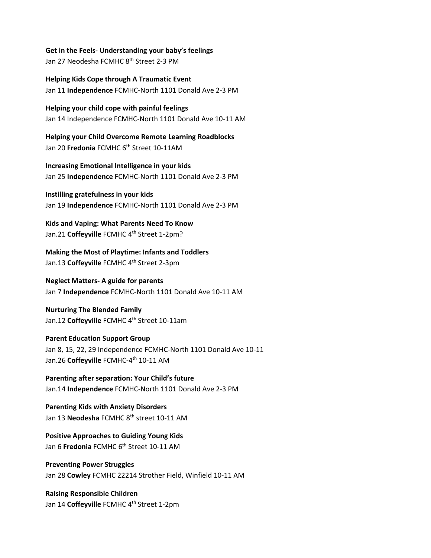**Get in the Feels‐ Understanding your baby's feelings** Jan 27 Neodesha FCMHC 8<sup>th</sup> Street 2-3 PM

**Helping Kids Cope through A Traumatic Event** Jan 11 **Independence** FCMHC‐North 1101 Donald Ave 2‐3 PM

**Helping your child cope with painful feelings** Jan 14 Independence FCMHC‐North 1101 Donald Ave 10‐11 AM

**Helping your Child Overcome Remote Learning Roadblocks** Jan 20 **Fredonia** FCMHC 6<sup>th</sup> Street 10-11AM

**Increasing Emotional Intelligence in your kids** Jan 25 **Independence** FCMHC‐North 1101 Donald Ave 2‐3 PM

**Instilling gratefulness in your kids** Jan 19 **Independence** FCMHC‐North 1101 Donald Ave 2‐3 PM

**Kids and Vaping: What Parents Need To Know** Jan.21 Coffeyville FCMHC 4<sup>th</sup> Street 1-2pm?

**Making the Most of Playtime: Infants and Toddlers** Jan.13 Coffeyville FCMHC 4<sup>th</sup> Street 2-3pm

**Neglect Matters‐ A guide for parents** Jan 7 **Independence** FCMHC‐North 1101 Donald Ave 10‐11 AM

**Nurturing The Blended Family** Jan.12 Coffeyville FCMHC 4<sup>th</sup> Street 10-11am

**Parent Education Support Group** Jan 8, 15, 22, 29 Independence FCMHC‐North 1101 Donald Ave 10‐11 Jan.26 Coffeyville FCMHC-4<sup>th</sup> 10-11 AM

**Parenting after separation: Your Child's future** Jan.14 **Independence** FCMHC‐North 1101 Donald Ave 2‐3 PM

**Parenting Kids with Anxiety Disorders** Jan 13 **Neodesha** FCMHC 8<sup>th</sup> street 10-11 AM

**Positive Approaches to Guiding Young Kids** Jan 6 **Fredonia** FCMHC 6<sup>th</sup> Street 10-11 AM

**Preventing Power Struggles** Jan 28 **Cowley** FCMHC 22214 Strother Field, Winfield 10‐11 AM

**Raising Responsible Children** Jan 14 Coffeyville FCMHC 4<sup>th</sup> Street 1-2pm